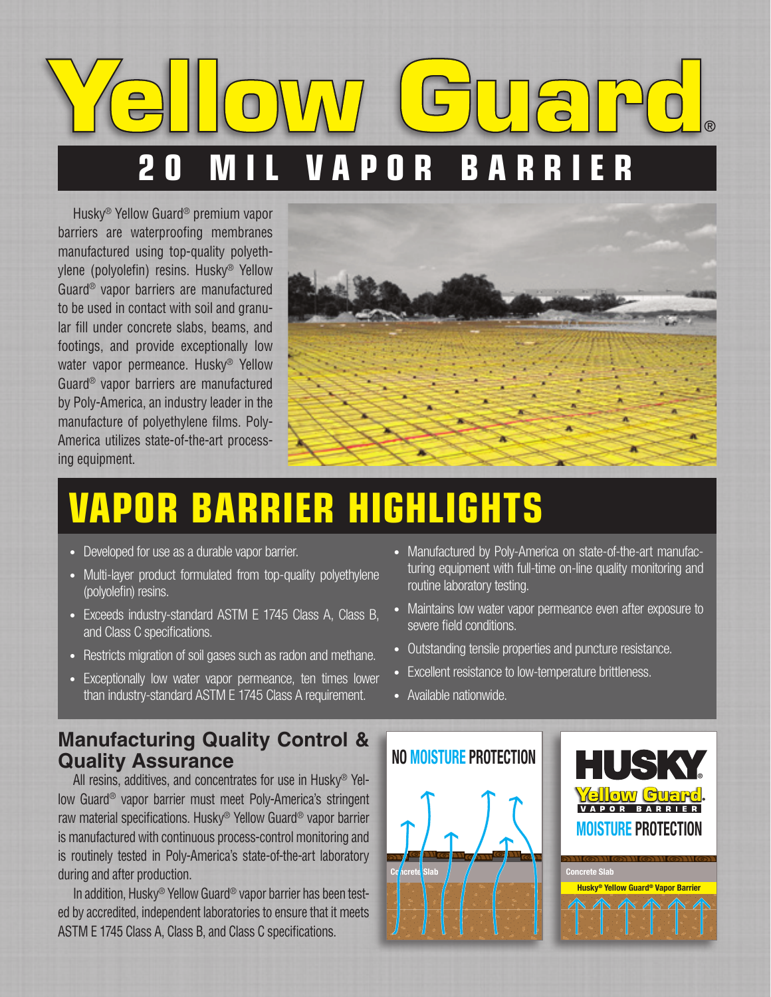# **20 MIL VAPOR BARRIER** ®

Husky® Yellow Guard® premium vapor barriers are waterproofing membranes manufactured using top-quality polyethylene (polyolefin) resins. Husky® Yellow Guard® vapor barriers are manufactured to be used in contact with soil and granular fill under concrete slabs, beams, and footings, and provide exceptionally low water vapor permeance. Husky® Yellow Guard® vapor barriers are manufactured by Poly-America, an industry leader in the manufacture of polyethylene films. Poly-America utilizes state-of-the-art processing equipment.



## **VAPOR BARRIER HIGHLIGHTS**

- Developed for use as a durable vapor barrier.
- Multi-layer product formulated from top-quality polyethylene (polyolefin) resins.
- Exceeds industry-standard ASTM E 1745 Class A, Class B, and Class C specifications.
- Restricts migration of soil gases such as radon and methane.
- Exceptionally low water vapor permeance, ten times lower than industry-standard ASTM E 1745 Class A requirement.

#### **Manufacturing Quality Control & Quality Assurance**

All resins, additives, and concentrates for use in Husky® Yellow Guard® vapor barrier must meet Poly-America's stringent raw material specifications. Husky® Yellow Guard® vapor barrier is manufactured with continuous process-control monitoring and is routinely tested in Poly-America's state-of-the-art laboratory during and after production.

In addition, Husky® Yellow Guard® vapor barrier has been tested by accredited, independent laboratories to ensure that it meets ASTM E 1745 Class A, Class B, and Class C specifications.

- Manufactured by Poly-America on state-of-the-art manufacturing equipment with full-time on-line quality monitoring and routine laboratory testing.
- Maintains low water vapor permeance even after exposure to severe field conditions.

**®**

- Outstanding tensile properties and puncture resistance.
- Excellent resistance to low-temperature brittleness.
- Available nationwide.